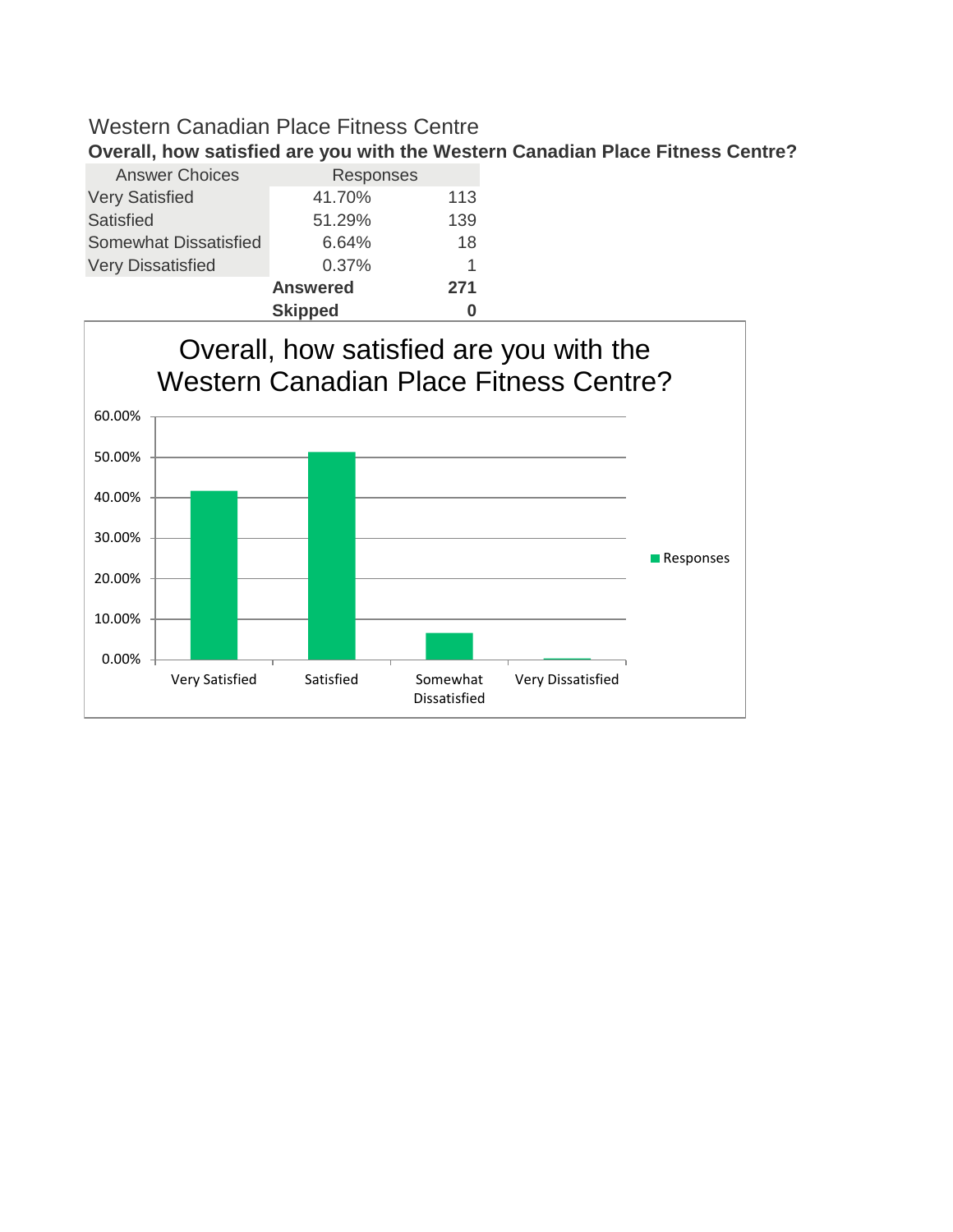|                              | <b>Skipped</b>  |     |
|------------------------------|-----------------|-----|
|                              | <b>Answered</b> | 271 |
| <b>Very Dissatisfied</b>     | 0.37%           | 1   |
| <b>Somewhat Dissatisfied</b> | 6.64%           | 18  |
| Satisfied                    | 51.29%          | 139 |
| <b>Very Satisfied</b>        | 41.70%          | 113 |
| <b>Answer Choices</b>        | Responses       |     |
|                              |                 |     |

Very Satisfied Satisfied Somewhat Dissatisfied Very Dissatisfied 0.00% 10.00% 20.00% 30.00% 40.00% 50.00% 60.00% Overall, how satisfied are you with the Western Canadian Place Fitness Centre? **Responses** 

#### **Overall, how satisfied are you with the Western Canadian Place Fitness Centre?**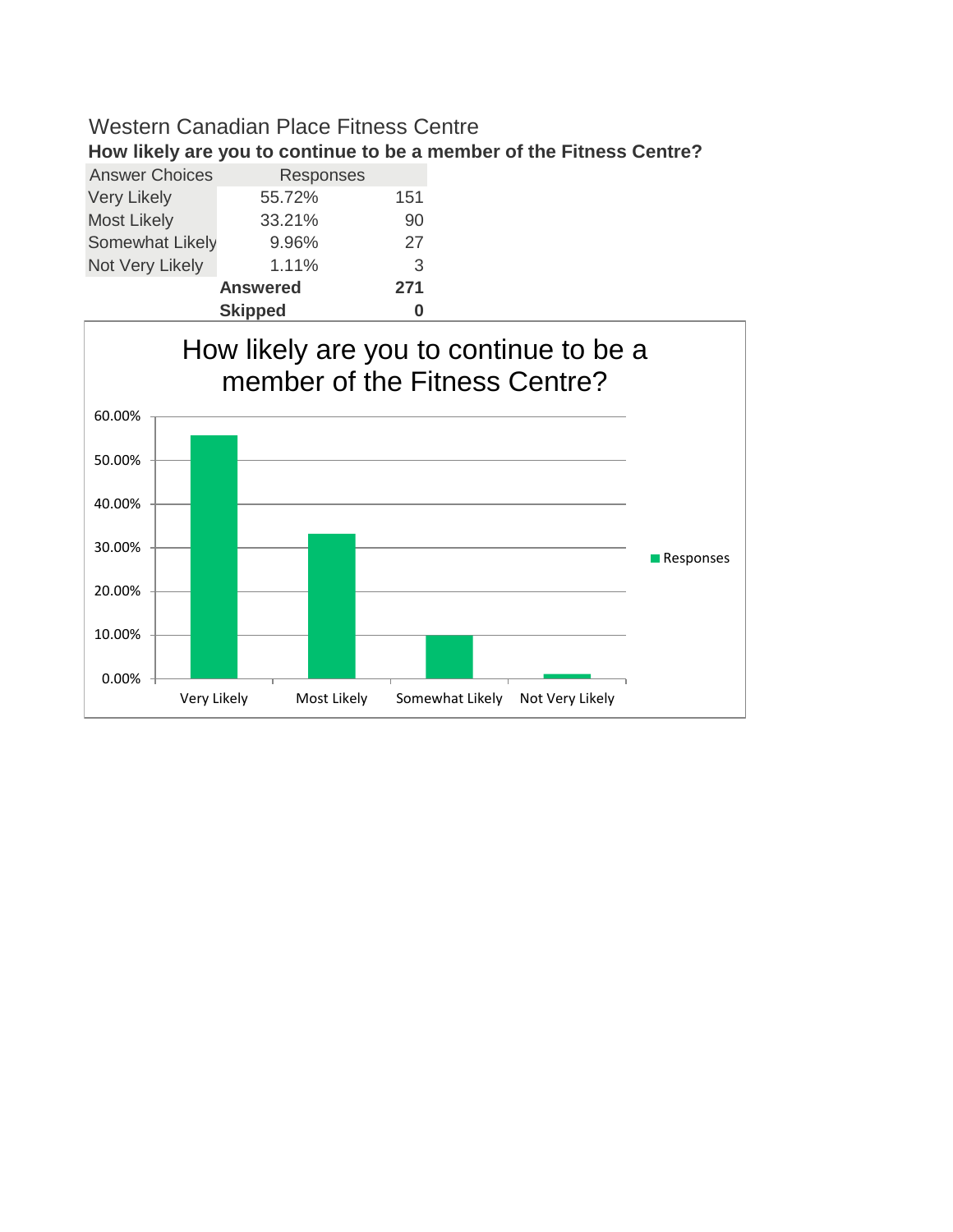**How likely are you to continue to be a member of the Fitness Centre?**

| <b>Answer Choices</b>  | Responses |     |  |  |  |
|------------------------|-----------|-----|--|--|--|
| <b>Very Likely</b>     | 55.72%    | 151 |  |  |  |
| <b>Most Likely</b>     | 33.21%    | 90  |  |  |  |
| Somewhat Likely        | 9.96%     | 27  |  |  |  |
| Not Very Likely        | 1.11%     | 3   |  |  |  |
| <b>Answered</b><br>271 |           |     |  |  |  |
|                        |           |     |  |  |  |

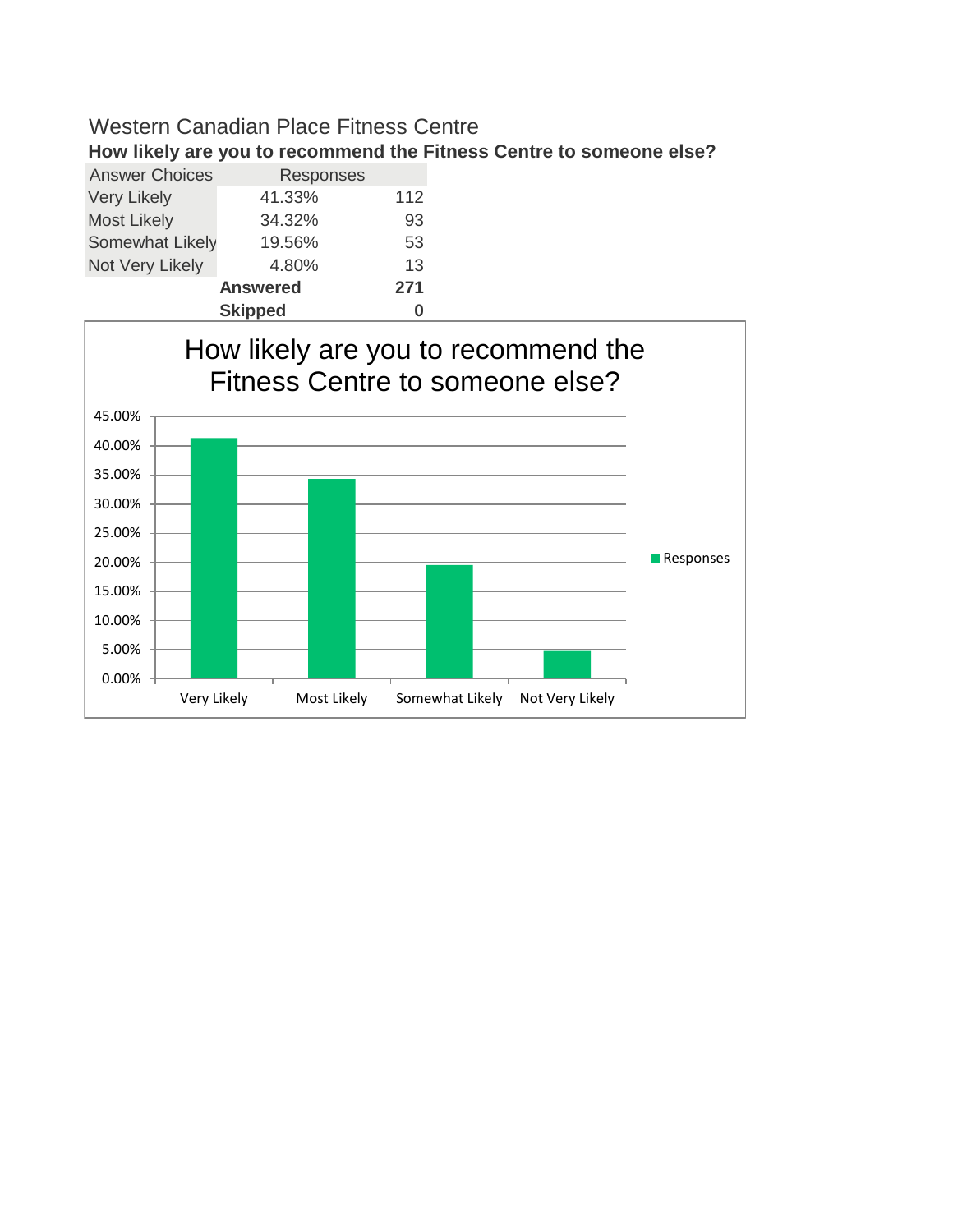**How likely are you to recommend the Fitness Centre to someone else?**

| <b>Answer Choices</b> | Responses       |     |  |  |
|-----------------------|-----------------|-----|--|--|
| <b>Very Likely</b>    | 41.33%          | 112 |  |  |
| <b>Most Likely</b>    | 34.32%          | 93  |  |  |
| Somewhat Likely       | 19.56%          | 53  |  |  |
| Not Very Likely       | 4.80%           | 13  |  |  |
|                       | <b>Answered</b> | 271 |  |  |
| <b>Skipped</b>        |                 |     |  |  |

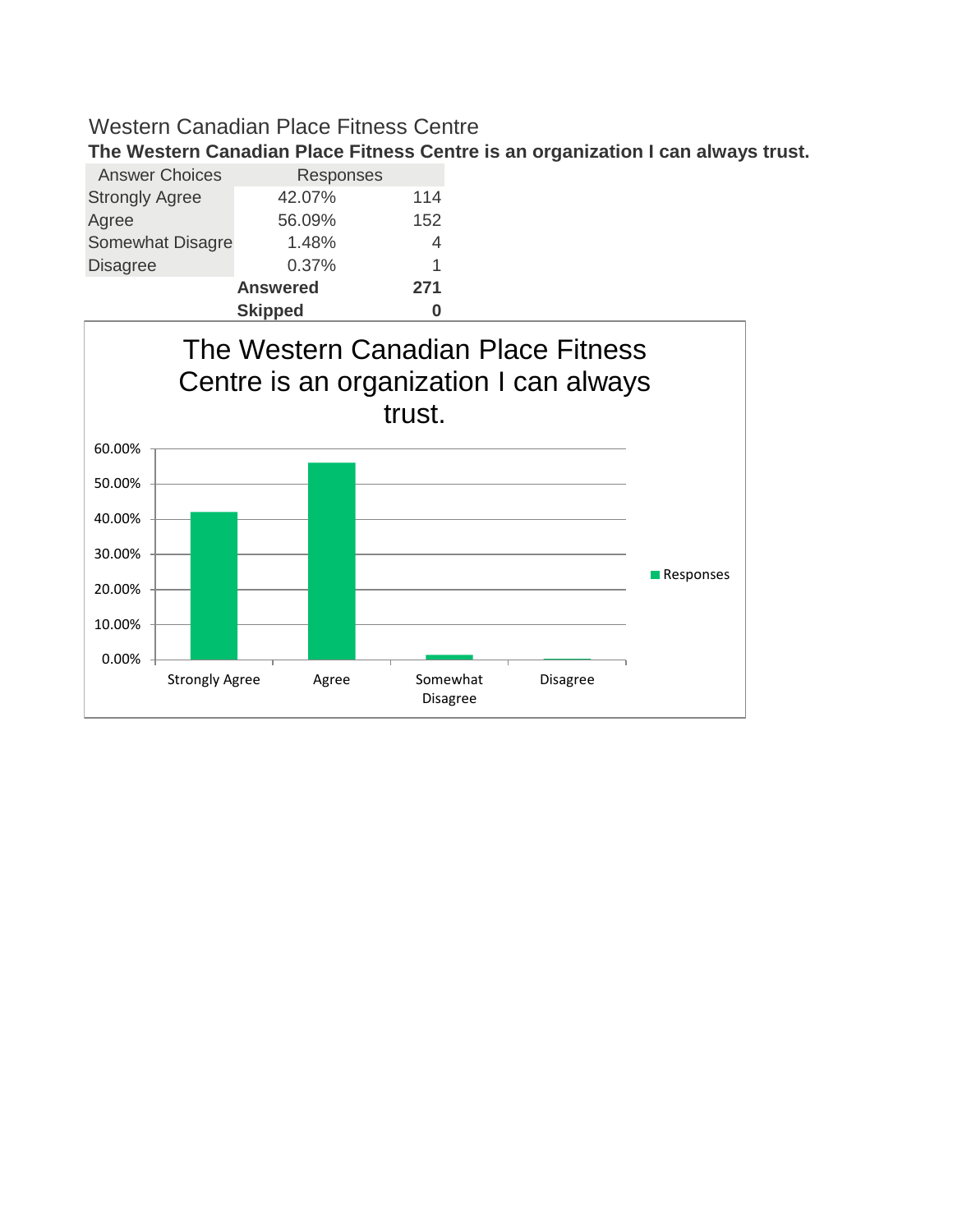**The Western Canadian Place Fitness Centre is an organization I can always trust.**

| <b>Answer Choices</b>   | Responses       |     |
|-------------------------|-----------------|-----|
| <b>Strongly Agree</b>   | 42.07%          | 114 |
| Agree                   | 56.09%          | 152 |
| <b>Somewhat Disagre</b> | 1.48%           | 4   |
| <b>Disagree</b>         | 0.37%           | 1   |
|                         | <b>Answered</b> | 271 |
| <b>Skipped</b>          |                 |     |

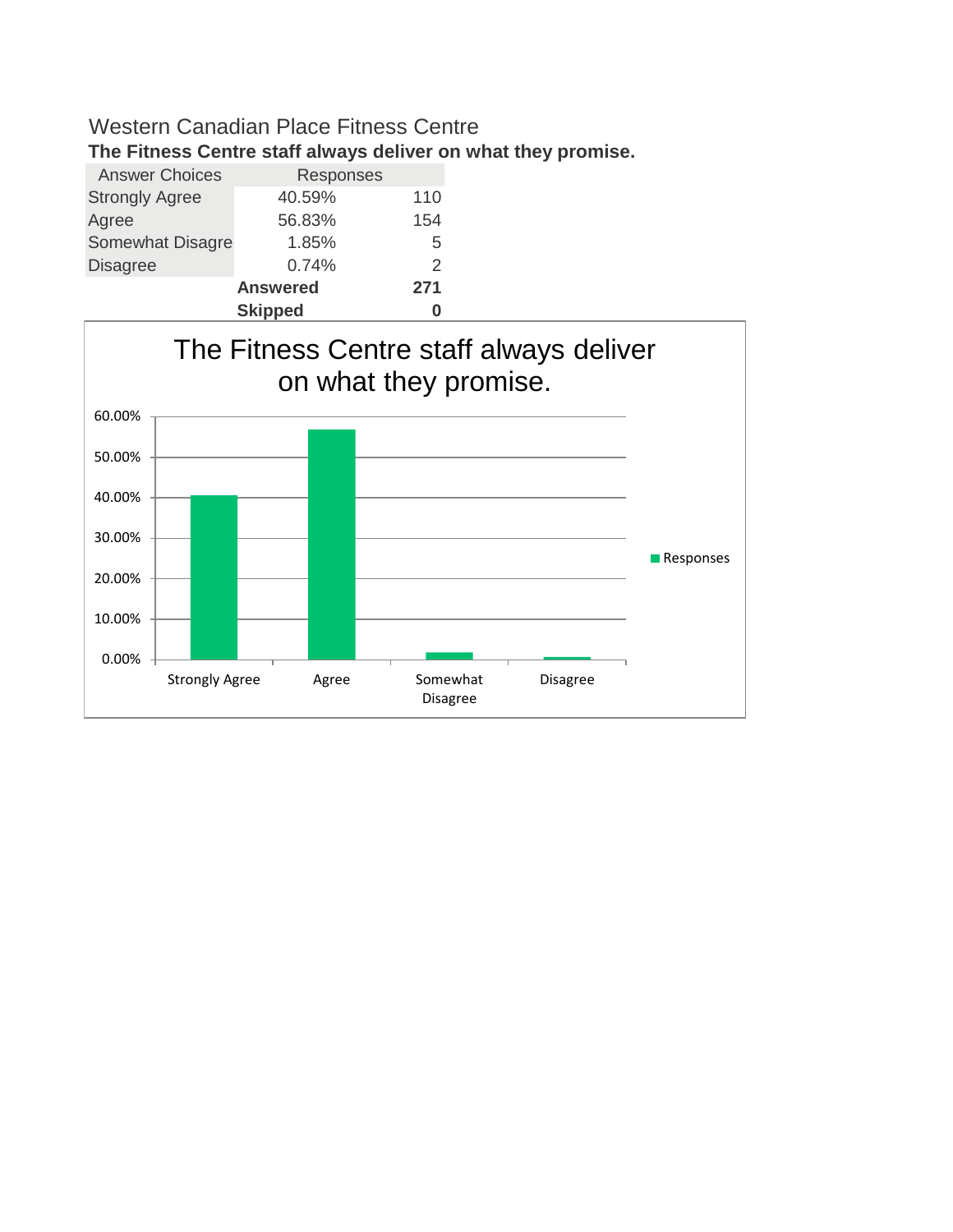**The Fitness Centre staff always deliver on what they promise.**

| <b>Answer Choices</b>   | Responses       |               |
|-------------------------|-----------------|---------------|
| <b>Strongly Agree</b>   | 40.59%          | 110           |
| Agree                   | 56.83%          | 154           |
| <b>Somewhat Disagre</b> | 1.85%           | 5             |
| <b>Disagree</b>         | 0.74%           | $\mathcal{P}$ |
|                         | <b>Answered</b> | 271           |
|                         | <b>Skipped</b>  |               |

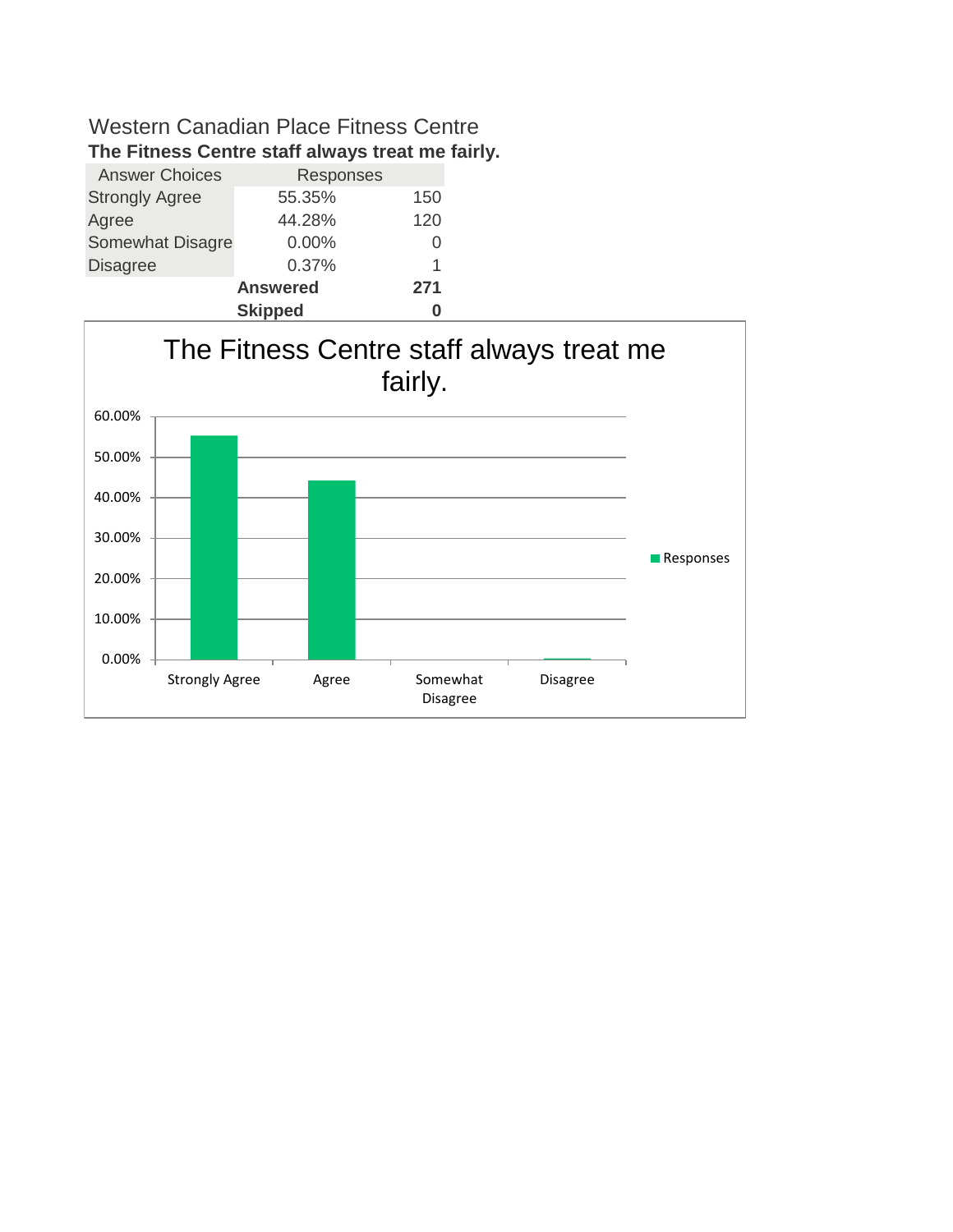| <b>Answer Choices</b> | Responses       |     |
|-----------------------|-----------------|-----|
| <b>Strongly Agree</b> | 55.35%          | 150 |
| Agree                 | 44.28%          | 120 |
| Somewhat Disagre      | 0.00%           | O   |
| <b>Disagree</b>       | 0.37%           | 1   |
|                       | <b>Answered</b> | 271 |
|                       |                 |     |



## **The Fitness Centre staff always treat me fairly.**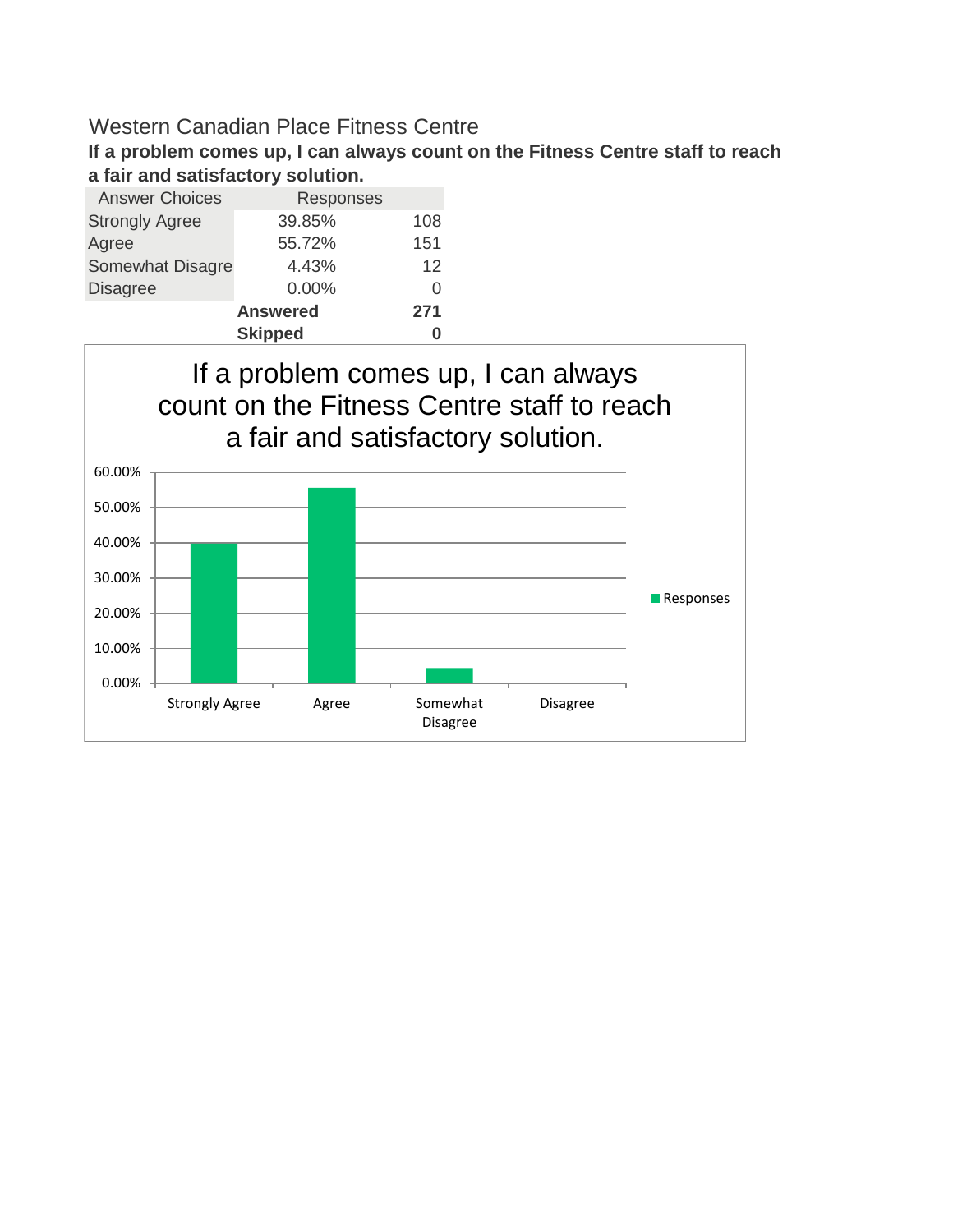**If a problem comes up, I can always count on the Fitness Centre staff to reach a fair and satisfactory solution.**

| <b>Answer Choices</b>   | Responses       |     |  |  |  |
|-------------------------|-----------------|-----|--|--|--|
| <b>Strongly Agree</b>   | 39.85%          | 108 |  |  |  |
| Agree                   | 55.72%          | 151 |  |  |  |
| <b>Somewhat Disagre</b> | 4.43%           | 12  |  |  |  |
| <b>Disagree</b>         | 0.00%           | Ω   |  |  |  |
|                         | <b>Answered</b> | 271 |  |  |  |
| <b>Skipped</b>          |                 |     |  |  |  |

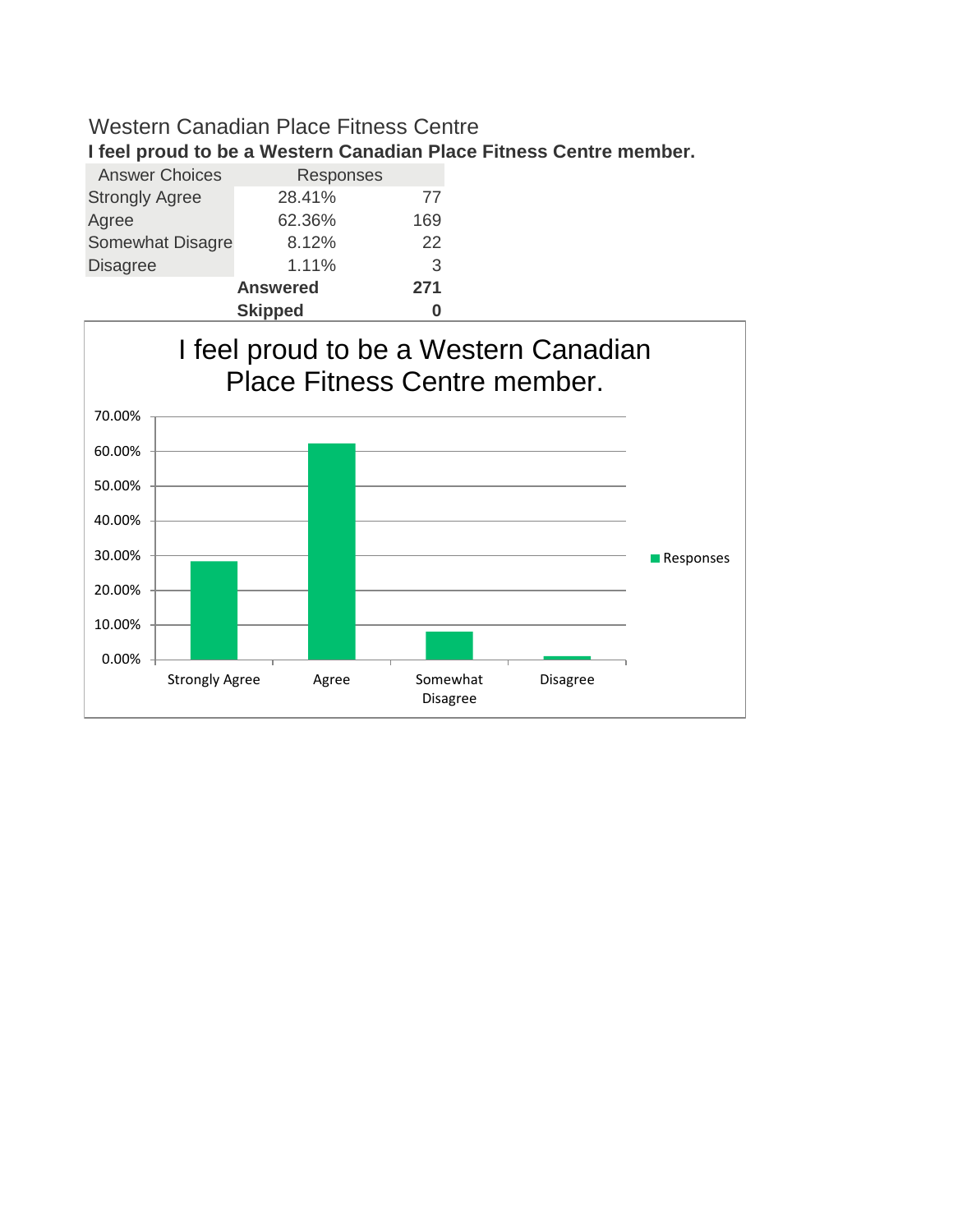**I feel proud to be a Western Canadian Place Fitness Centre member.**

| <b>Answer Choices</b>   | Responses       |     |  |  |
|-------------------------|-----------------|-----|--|--|
| <b>Strongly Agree</b>   | 28.41%          | 77  |  |  |
| Agree                   | 62.36%          | 169 |  |  |
| <b>Somewhat Disagre</b> | 8.12%           | 22  |  |  |
| <b>Disagree</b>         | 1.11%           | 3   |  |  |
|                         | <b>Answered</b> | 271 |  |  |
|                         | <b>Skipped</b>  |     |  |  |

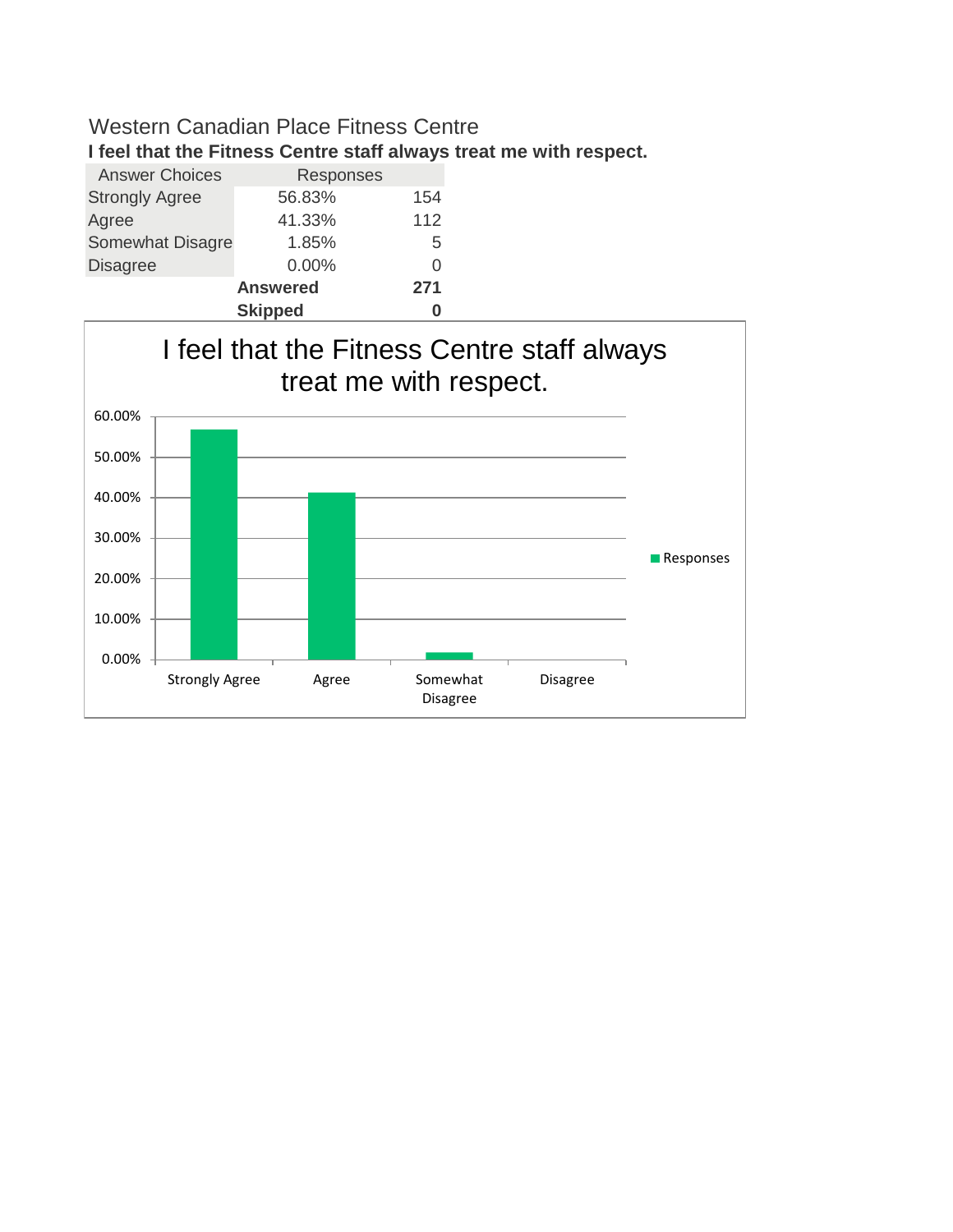**I feel that the Fitness Centre staff always treat me with respect.**

| <b>Answer Choices</b> | Responses       |     |  |  |
|-----------------------|-----------------|-----|--|--|
| <b>Strongly Agree</b> | 56.83%          | 154 |  |  |
| Agree                 | 41.33%          | 112 |  |  |
| Somewhat Disagre      | 1.85%           | 5   |  |  |
| <b>Disagree</b>       | $0.00\%$        | 0   |  |  |
|                       | <b>Answered</b> |     |  |  |
|                       | <b>Skipped</b>  |     |  |  |

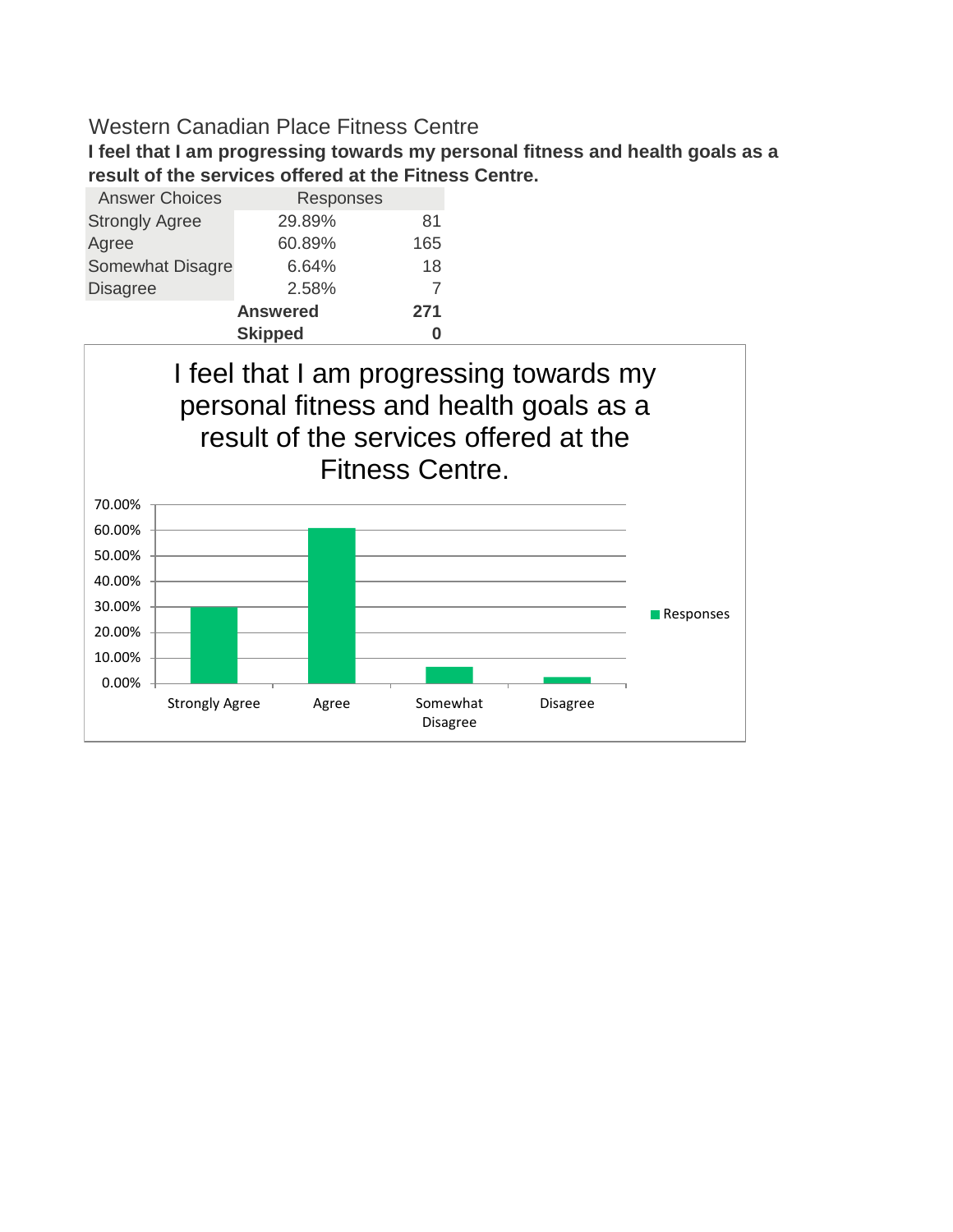**I feel that I am progressing towards my personal fitness and health goals as a result of the services offered at the Fitness Centre.**

| <b>Answer Choices</b>   | Responses       |     |  |  |
|-------------------------|-----------------|-----|--|--|
| <b>Strongly Agree</b>   | 29.89%          | 81  |  |  |
| Agree                   | 60.89%          | 165 |  |  |
| <b>Somewhat Disagre</b> | 6.64%           | 18  |  |  |
| <b>Disagree</b>         | 2.58%           |     |  |  |
|                         | <b>Answered</b> | 271 |  |  |
| <b>Skipped</b>          |                 |     |  |  |

I feel that I am progressing towards my personal fitness and health goals as a result of the services offered at the Fitness Centre.

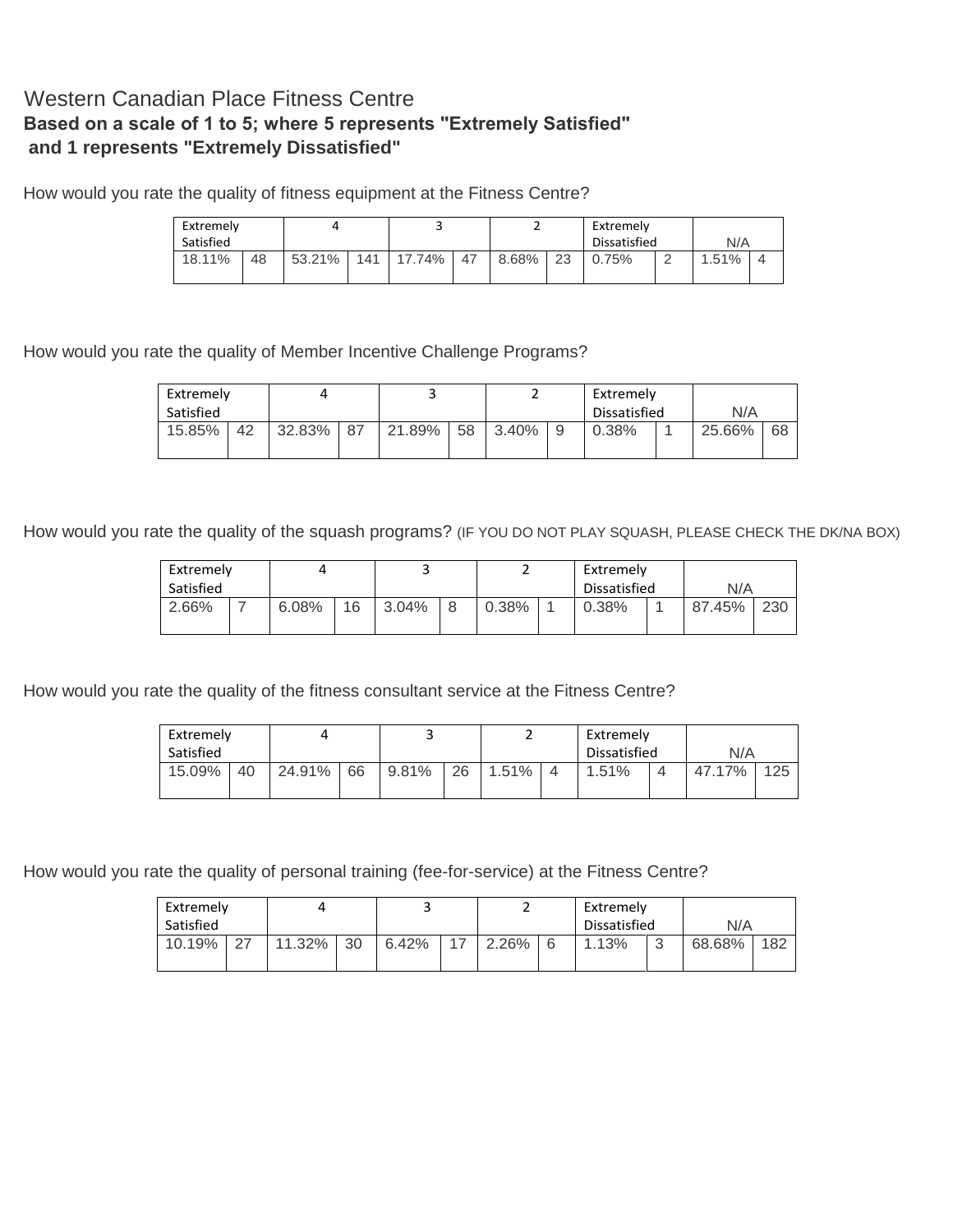#### Western Canadian Place Fitness Centre **Based on a scale of 1 to 5; where 5 represents "Extremely Satisfied" and 1 represents "Extremely Dissatisfied"**

How would you rate the quality of fitness equipment at the Fitness Centre?

| Extremely |    |        |     |        |    |       |    | Extremely    |  |       |  |
|-----------|----|--------|-----|--------|----|-------|----|--------------|--|-------|--|
| Satisfied |    |        |     |        |    |       |    | Dissatisfied |  | N/A   |  |
| 18.11%    | 48 | 53.21% | 141 | 17.74% | 47 | 8.68% | 23 | 0.75%        |  | 1.51% |  |
|           |    |        |     |        |    |       |    |              |  |       |  |

How would you rate the quality of Member Incentive Challenge Programs?

| Extremely |    |        |      |        |    |       |   | Extremely    |        |     |
|-----------|----|--------|------|--------|----|-------|---|--------------|--------|-----|
| Satisfied |    |        |      |        |    |       |   | Dissatisfied | N/A    |     |
| 15.85%    | 42 | 32.83% | - 87 | 21.89% | 58 | 3.40% | a | 0.38%        | 25.66% | -68 |

How would you rate the quality of the squash programs? (IF YOU DO NOT PLAY SQUASH, PLEASE CHECK THE DK/NA BOX)

| Extremely |  |       |    |       |   |       | Extremely |              |        |     |
|-----------|--|-------|----|-------|---|-------|-----------|--------------|--------|-----|
| Satisfied |  |       |    |       |   |       |           | Dissatisfied | N/A    |     |
| 2.66%     |  | 6.08% | 16 | 3.04% | 8 | 0.38% |           | $0.38\%$     | 87.45% | 230 |

How would you rate the quality of the fitness consultant service at the Fitness Centre?

|           | Extremely |        |    |       |    |       | Extremely      |              |  |        |     |
|-----------|-----------|--------|----|-------|----|-------|----------------|--------------|--|--------|-----|
| Satisfied |           |        |    |       |    |       |                | Dissatisfied |  | N/A    |     |
| 15.09%    | 40        | 24.91% | 66 | 9.81% | 26 | 1.51% | $\overline{4}$ | $1.51\%$     |  | 47.17% | 125 |
|           |           |        |    |       |    |       |                |              |  |        |     |

How would you rate the quality of personal training (fee-for-service) at the Fitness Centre?

| Extremely |        |        |    |       |  |       |   | Extremely    |        |        |     |
|-----------|--------|--------|----|-------|--|-------|---|--------------|--------|--------|-----|
| Satisfied |        |        |    |       |  |       |   | Dissatisfied |        | N/A    |     |
| 10.19%    | $\sim$ | 11.32% | 30 | 6.42% |  | 2.26% | 6 | 1.13%        | റ<br>v | 68.68% | 182 |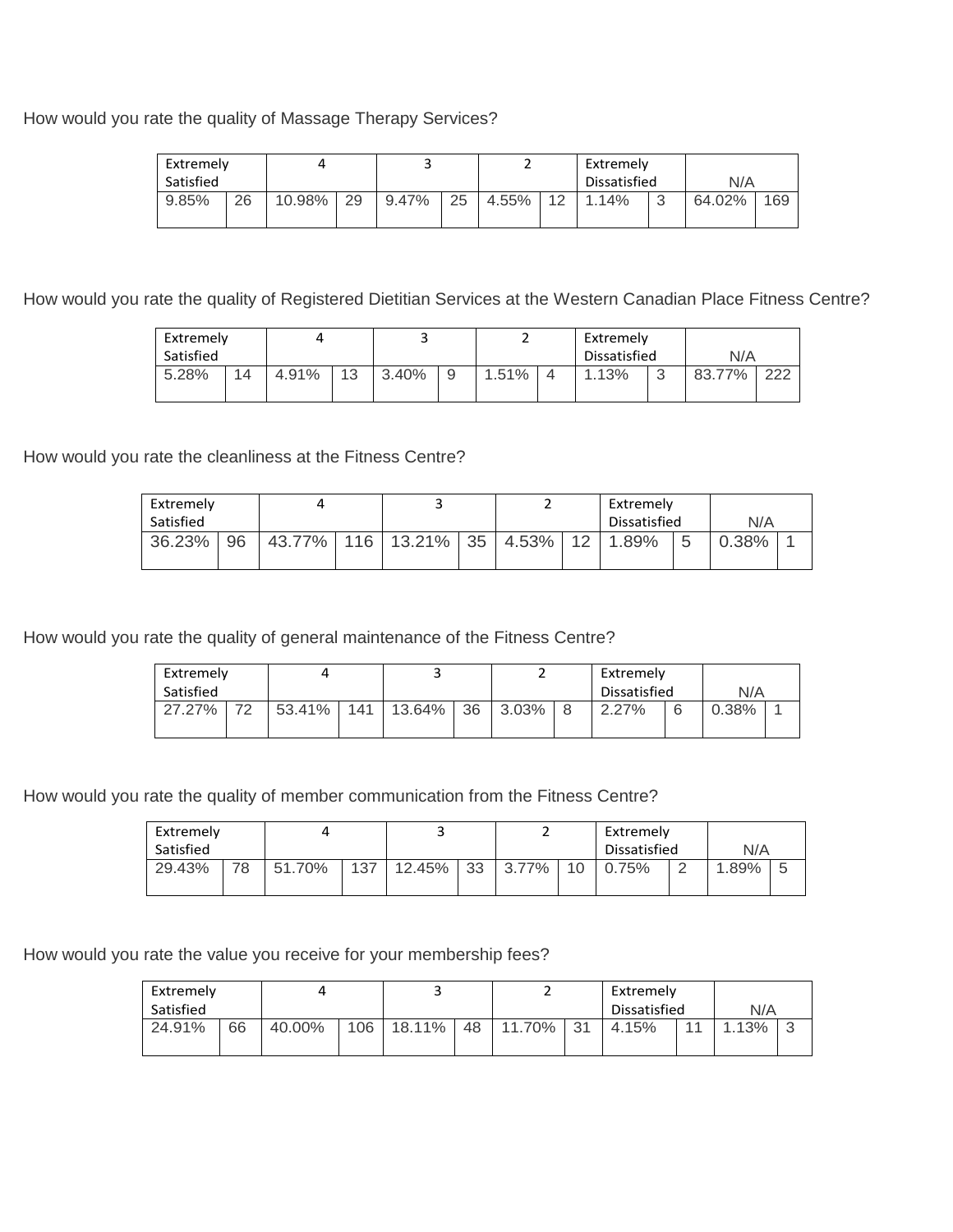How would you rate the quality of Massage Therapy Services?

| Extremely |    |        |    |       |    | Extremely    |    |       |        |        |     |
|-----------|----|--------|----|-------|----|--------------|----|-------|--------|--------|-----|
| Satisfied |    |        |    |       |    | Dissatisfied |    | N/A   |        |        |     |
| $9.85\%$  | 26 | 10.98% | 29 | 9.47% | 25 | 4.55%        | 12 | 1.14% | $\sim$ | 64.02% | 169 |

How would you rate the quality of Registered Dietitian Services at the Western Canadian Place Fitness Centre?

| Extremely |    |       |    |       |   |       |  | Extremely    |             |        |     |
|-----------|----|-------|----|-------|---|-------|--|--------------|-------------|--------|-----|
| Satisfied |    |       |    |       |   |       |  | Dissatisfied |             | N/A    |     |
| 5.28%     | 14 | 4.91% | 13 | 3.40% | 9 | 1.51% |  | 1.13%        | $\sim$<br>J | 83.77% | 222 |

How would you rate the cleanliness at the Fitness Centre?

| Extremely |    |  |                                                 |  | Extremely    |   |       |  |
|-----------|----|--|-------------------------------------------------|--|--------------|---|-------|--|
| Satisfied |    |  |                                                 |  | Dissatisfied |   | N/A   |  |
| 36.23%    | 96 |  | 43.77%   116   13.21%   35   4.53%   12   1.89% |  |              | 5 | 0.38% |  |
|           |    |  |                                                 |  |              |   |       |  |

How would you rate the quality of general maintenance of the Fitness Centre?

| Extremely    |        |     |        |    |       |  | Extremely    |   |       |  |
|--------------|--------|-----|--------|----|-------|--|--------------|---|-------|--|
| Satisfied    |        |     |        |    |       |  | Dissatisfied |   | N/A   |  |
| 70<br>27.27% | 53.41% | 141 | 13.64% | 36 | 3.03% |  | 2.27%        | 6 | 0.38% |  |

How would you rate the quality of member communication from the Fitness Centre?

| Extremely |    |        |     |        |    |       |    |              | Extremely |      |   |
|-----------|----|--------|-----|--------|----|-------|----|--------------|-----------|------|---|
| Satisfied |    |        |     |        |    |       |    | Dissatisfied |           | N/A  |   |
| 29.43%    | 78 | 51.70% | 137 | 12.45% | 33 | 3.77% | 10 | 0.75%        | $\sim$    | .89% | 5 |

How would you rate the value you receive for your membership fees?

| Extremely |    |        |     |        |    |        |     | Extremely    |          |   |
|-----------|----|--------|-----|--------|----|--------|-----|--------------|----------|---|
| Satisfied |    |        |     |        |    |        |     | Dissatisfied | N/A      |   |
| 24.91%    | 66 | 40.00% | 106 | 18.11% | 48 | 11.70% | -31 | 4.15%        | $1.13\%$ | ີ |
|           |    |        |     |        |    |        |     |              |          |   |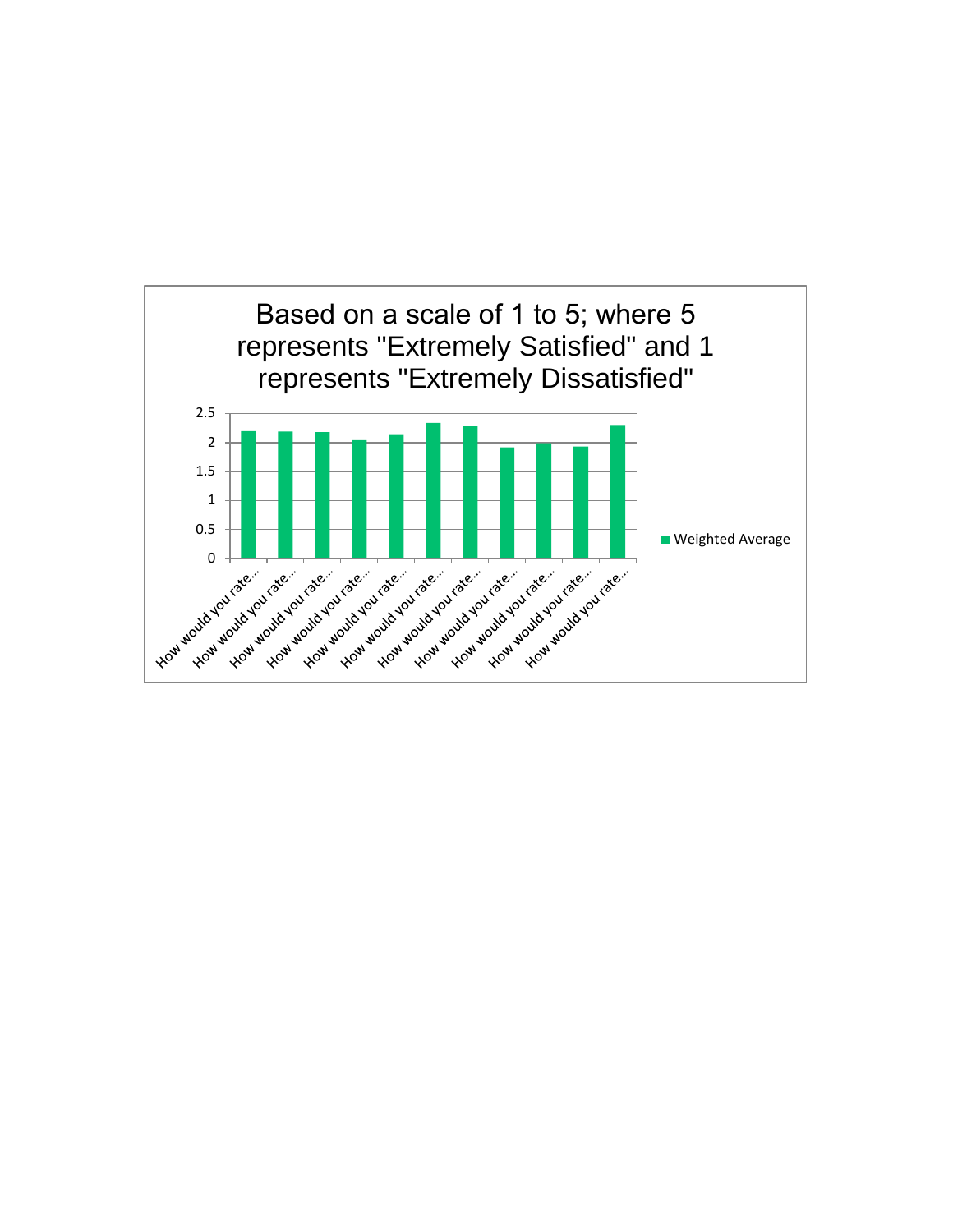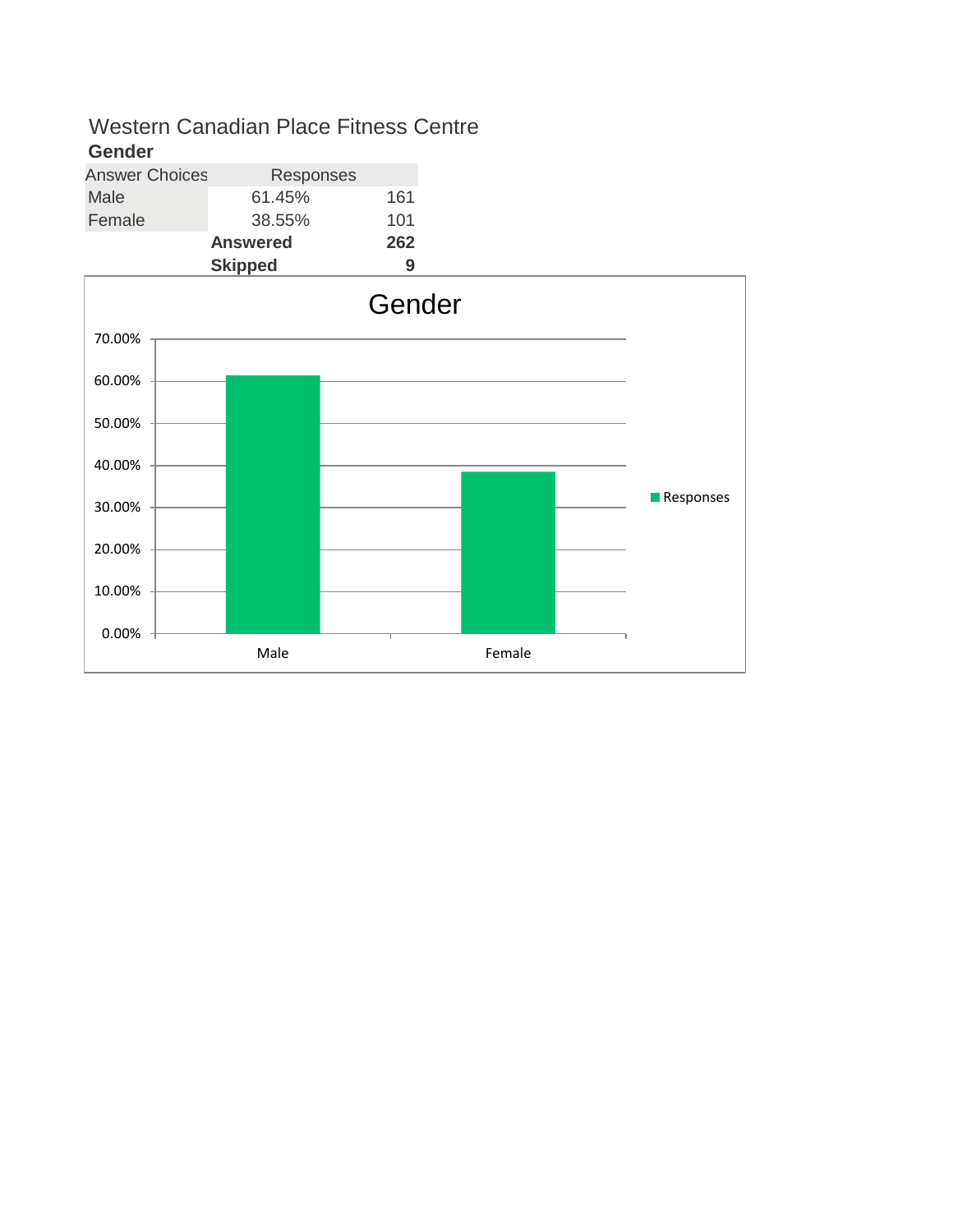| -------               |                 |     |
|-----------------------|-----------------|-----|
| <b>Answer Choices</b> | Responses       |     |
| Male                  | 61.45%          | 161 |
| Female                | 38.55%          | 101 |
|                       | <b>Answered</b> | 262 |
|                       | <b>Skipped</b>  | 9   |

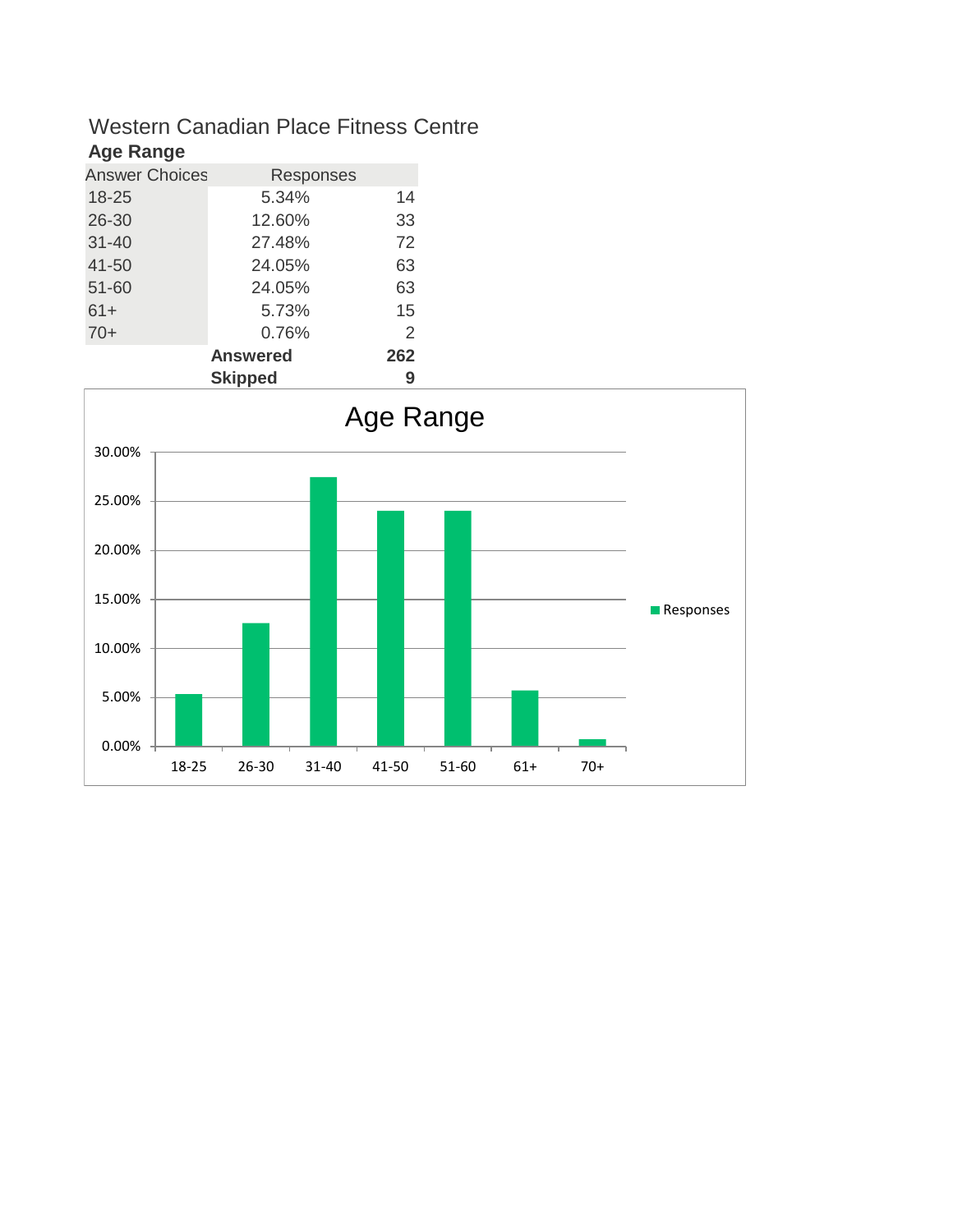#### **Age Range**

| <b>Answer Choices</b> | Responses       |        |
|-----------------------|-----------------|--------|
| 18-25                 | 5.34%           | 14     |
| 26-30                 | 12.60%          | 33     |
| $31 - 40$             | 27.48%          | 72     |
| 41-50                 | 24.05%          | 63     |
| 51-60                 | 24.05%          | 63     |
| $61+$                 | 5.73%           | 15     |
| $70+$                 | 0.76%           | 2      |
|                       | <b>Answered</b> | 262    |
|                       | outra a di      | $\sim$ |

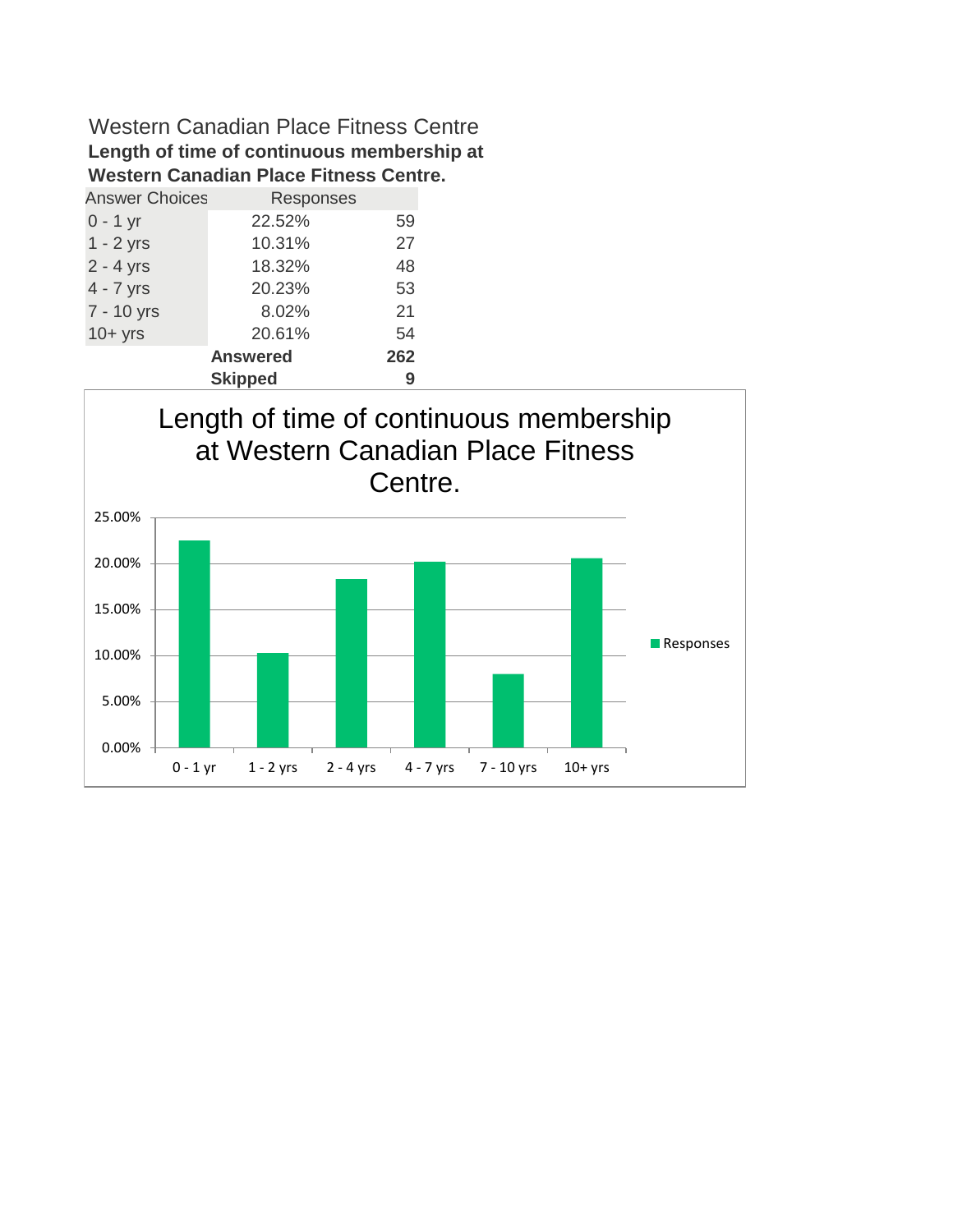### Western Canadian Place Fitness Centre **Length of time of continuous membership at Western Canadian Place Fitness Centre.**

| <b>Answer Choices</b> | Responses       |     |
|-----------------------|-----------------|-----|
| $0 - 1$ yr            | 22.52%          | 59  |
| $1 - 2$ yrs           | 10.31%          | 27  |
| $2 - 4$ yrs           | 18.32%          | 48  |
| $4 - 7$ yrs           | 20.23%          | 53  |
| 7 - 10 yrs            | 8.02%           | 21  |
| $10+$ yrs             | 20.61%          | 54  |
|                       | <b>Answered</b> | 262 |
|                       | <b>Skipped</b>  | 9   |

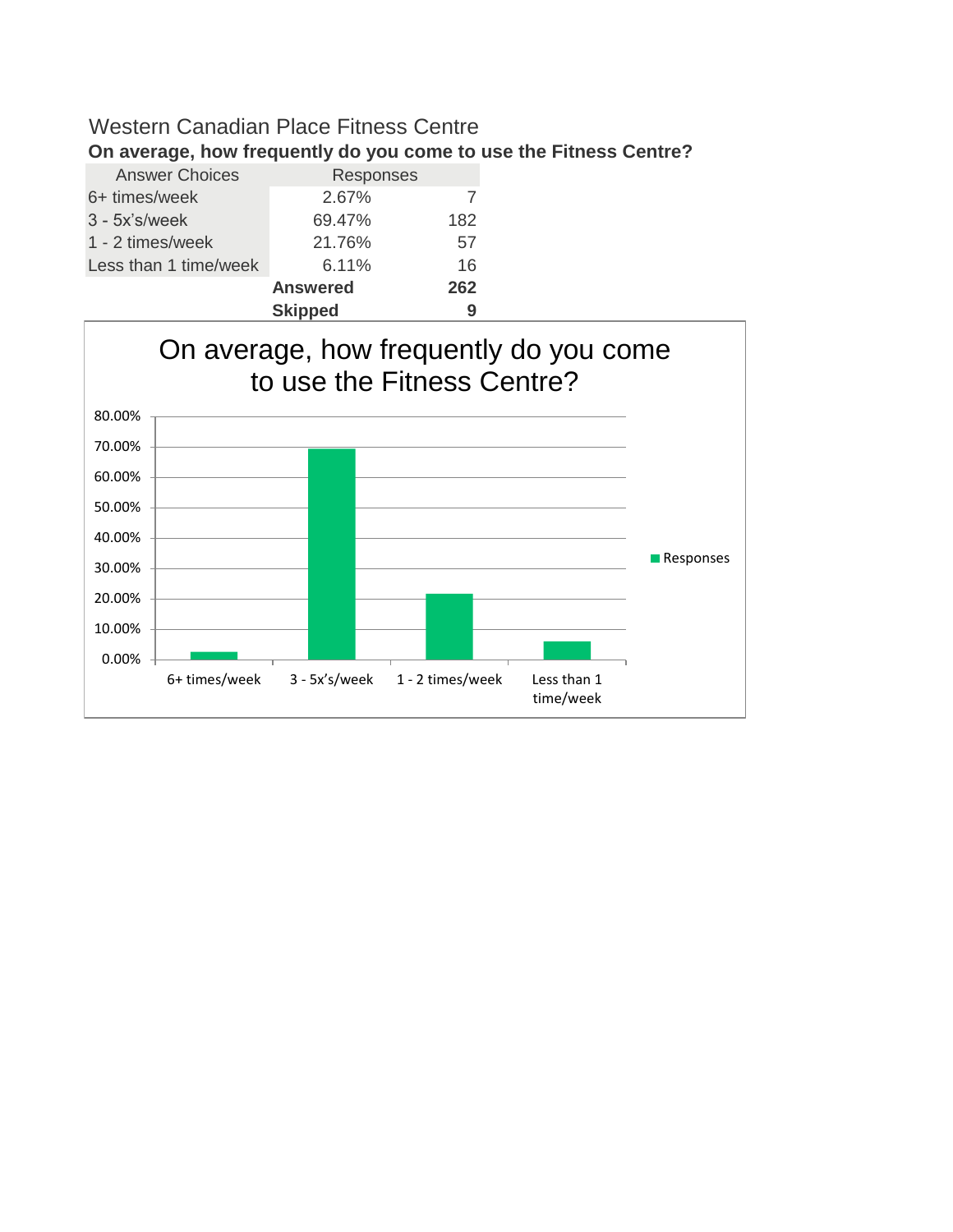| On average, now frequently do you come to use the |                 |     |
|---------------------------------------------------|-----------------|-----|
| <b>Answer Choices</b>                             | Responses       |     |
| 6+ times/week                                     | 2.67%           |     |
| $3 - 5x$ 's/week                                  | 69.47%          | 182 |
| 1 - 2 times/week                                  | 21.76%          | 57  |
| Less than 1 time/week                             | 6.11%           | 16  |
|                                                   | <b>Answered</b> | 262 |
|                                                   | <b>Skipped</b>  | 9   |



# **On average, how frequently do you come to use the Fitness Centre?**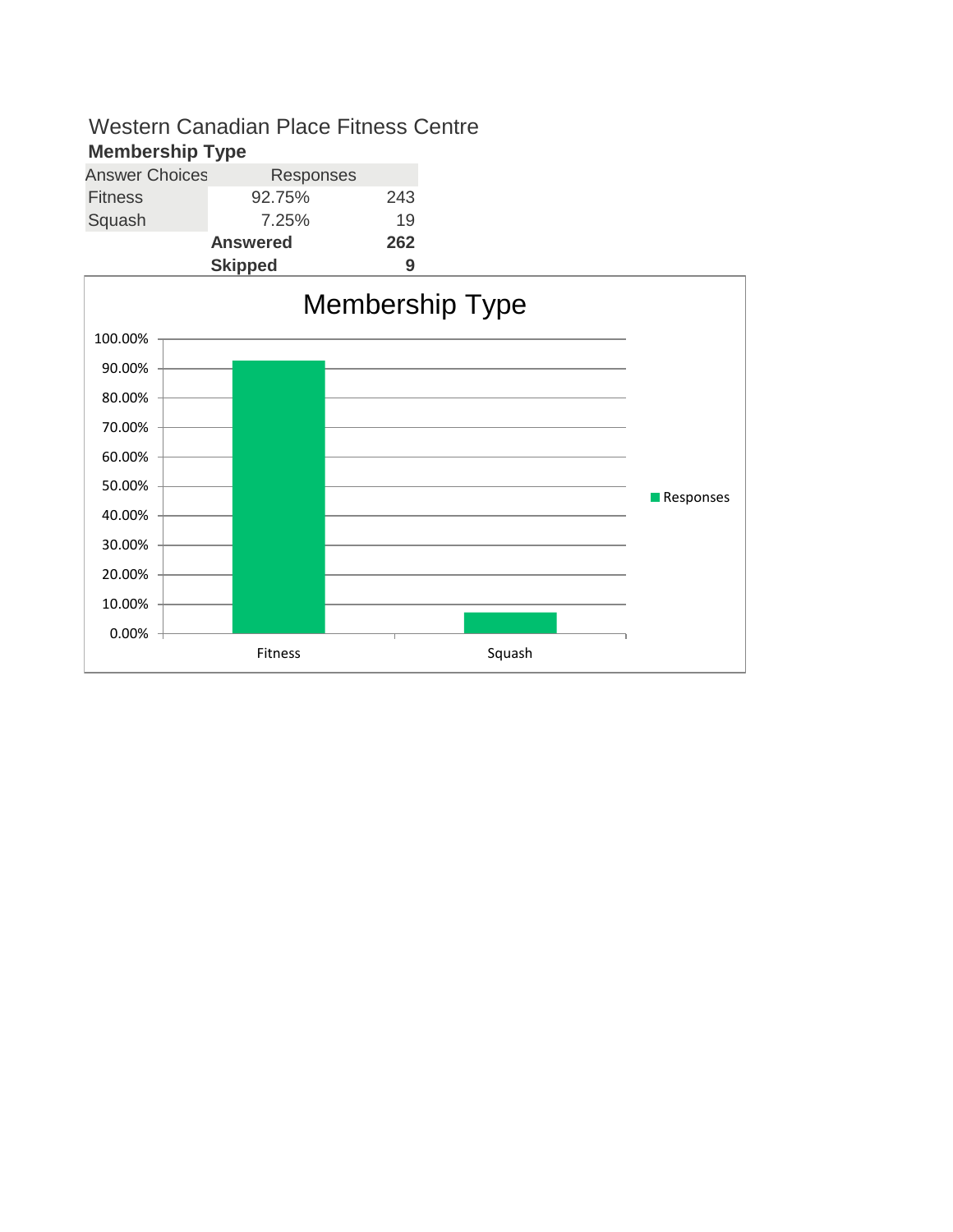#### **Membership Type**

| <b>Answer Choices</b> | Responses       |     |
|-----------------------|-----------------|-----|
| <b>Fitness</b>        | 92.75%          | 243 |
| Squash                | 7.25%           | 19  |
|                       | <b>Answered</b> | 262 |
|                       | <b>Skipped</b>  | g   |